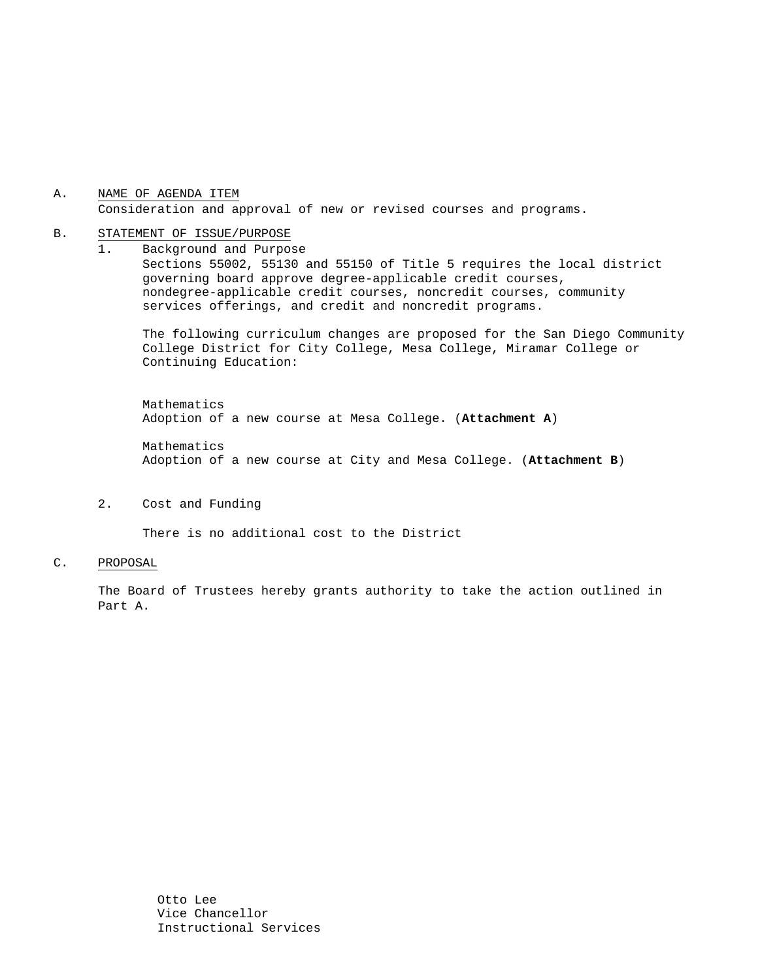## A. NAME OF AGENDA ITEM Consideration and approval of new or revised courses and programs.

#### B. STATEMENT OF ISSUE/PURPOSE

1. Background and Purpose Sections 55002, 55130 and 55150 of Title 5 requires the local district governing board approve degree-applicable credit courses, nondegree-applicable credit courses, noncredit courses, community services offerings, and credit and noncredit programs.

The following curriculum changes are proposed for the San Diego Community College District for City College, Mesa College, Miramar College or Continuing Education:

 Mathematics Adoption of a new course at Mesa College. (**Attachment A**) Mathematics

Adoption of a new course at City and Mesa College. (**Attachment B**)

## 2. Cost and Funding

There is no additional cost to the District

#### C. PROPOSAL

The Board of Trustees hereby grants authority to take the action outlined in Part A.

> Otto Lee Vice Chancellor Instructional Services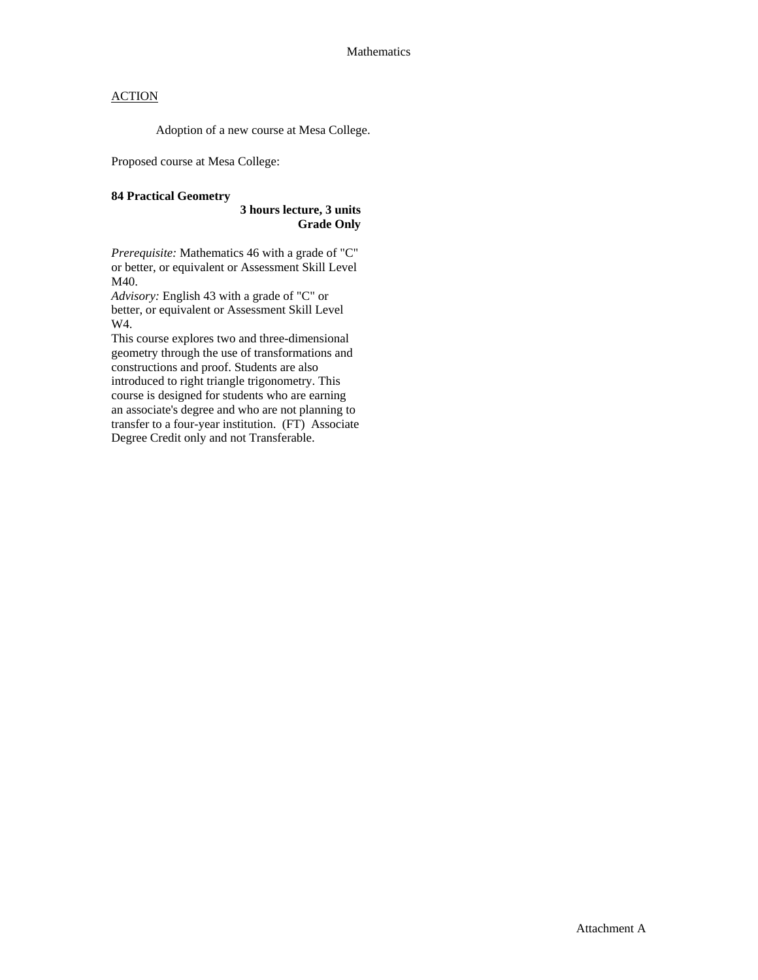# **ACTION**

Adoption of a new course at Mesa College.

Proposed course at Mesa College:

### **84 Practical Geometry**

### **3 hours lecture, 3 units Grade Only**

*Prerequisite:* Mathematics 46 with a grade of "C" or better, or equivalent or Assessment Skill Level M40.

*Advisory:* English 43 with a grade of "C" or better, or equivalent or Assessment Skill Level W4.

This course explores two and three-dimensional geometry through the use of transformations and constructions and proof. Students are also introduced to right triangle trigonometry. This course is designed for students who are earning an associate's degree and who are not planning to transfer to a four-year institution. (FT) Associate Degree Credit only and not Transferable.